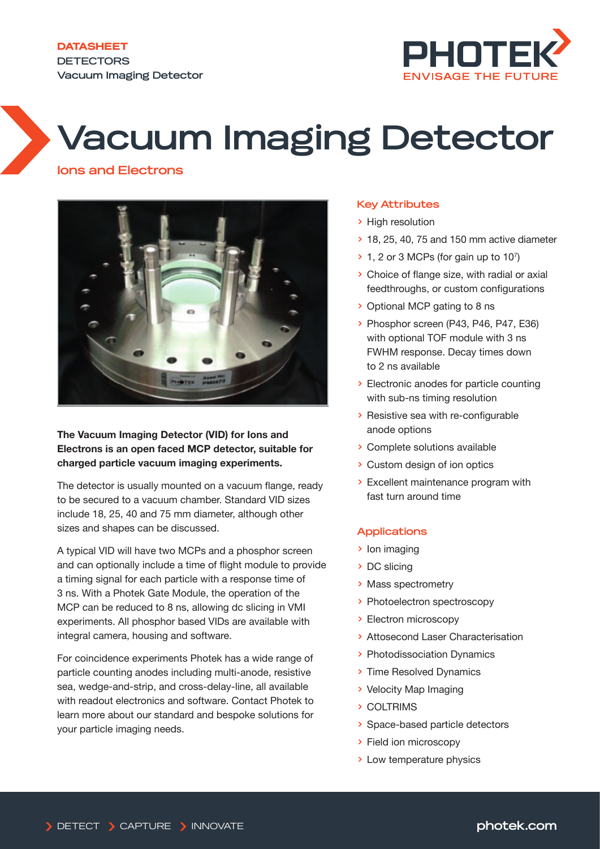**DATASHEET DETECTORS Vacuum Imaging Detector**



# **Vacuum Imaging Detector**

# **Ions and Electrons**



# **The Vacuum Imaging Detector (VID) for Ions and Electrons is an open faced MCP detector, suitable for charged particle vacuum imaging experiments.**

The detector is usually mounted on a vacuum flange, ready to be secured to a vacuum chamber. Standard VID sizes include 18, 25, 40 and 75 mm diameter, although other sizes and shapes can be discussed.

A typical VID will have two MCPs and a phosphor screen and can optionally include a time of flight module to provide a timing signal for each particle with a response time of 3 ns. With a Photek Gate Module, the operation of the MCP can be reduced to 8 ns, allowing dc slicing in VMI experiments. All phosphor based VIDs are available with integral camera, housing and software.

For coincidence experiments Photek has a wide range of particle counting anodes including multi-anode, resistive sea, wedge-and-strip, and cross-delay-line, all available with readout electronics and software. Contact Photek to learn more about our standard and bespoke solutions for your particle imaging needs.

# **Key Attributes**

- > High resolution
- > 18, 25, 40, 75 and 150 mm active diameter
- $\geq 1$ , 2 or 3 MCPs (for gain up to 10<sup>7</sup>)
- > Choice of flange size, with radial or axial feedthroughs, or custom configurations
- > Optional MCP gating to 8 ns
- > Phosphor screen (P43, P46, P47, E36) with optional TOF module with 3 ns FWHM response. Decay times down to 2 ns available
- > Electronic anodes for particle counting with sub-ns timing resolution
- > Resistive sea with re-configurable anode options
- > Complete solutions available
- > Custom design of ion optics
- > Excellent maintenance program with fast turn around time

# **Applications**

- > Ion imaging
- > DC slicing
- > Mass spectrometry
- > Photoelectron spectroscopy
- > Electron microscopy
- > Attosecond Laser Characterisation
- > Photodissociation Dynamics
- > Time Resolved Dynamics
- > Velocity Map Imaging
- > COLTRIMS
- > Space-based particle detectors
- > Field ion microscopy
- > Low temperature physics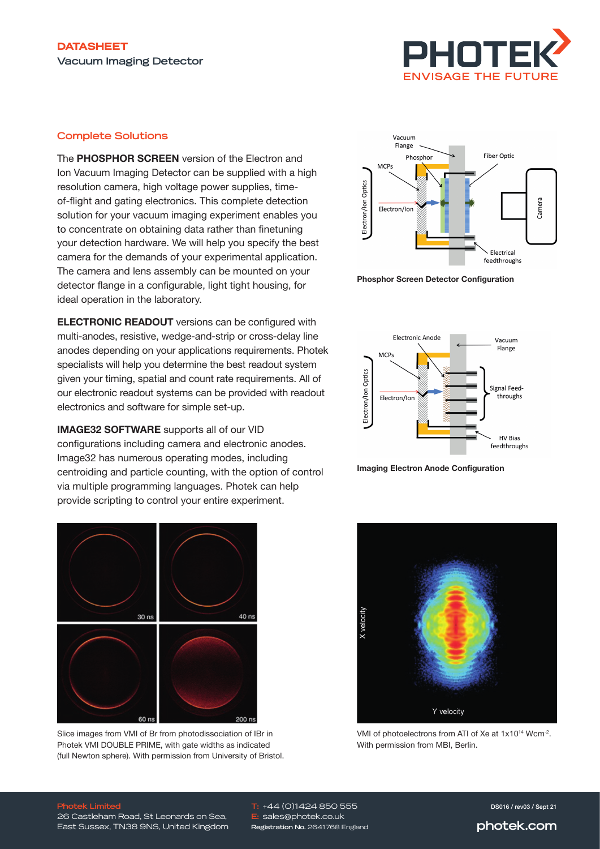

# **Complete Solutions**

The **PHOSPHOR SCREEN** version of the Electron and Ion Vacuum Imaging Detector can be supplied with a high resolution camera, high voltage power supplies, timeof-flight and gating electronics. This complete detection solution for your vacuum imaging experiment enables you to concentrate on obtaining data rather than finetuning your detection hardware. We will help you specify the best camera for the demands of your experimental application. The camera and lens assembly can be mounted on your detector flange in a configurable, light tight housing, for ideal operation in the laboratory.

**ELECTRONIC READOUT** versions can be configured with multi-anodes, resistive, wedge-and-strip or cross-delay line anodes depending on your applications requirements. Photek specialists will help you determine the best readout system given your timing, spatial and count rate requirements. All of our electronic readout systems can be provided with readout electronics and software for simple set-up.

**IMAGE32 SOFTWARE** supports all of our VID configurations including camera and electronic anodes. Image32 has numerous operating modes, including centroiding and particle counting, with the option of control via multiple programming languages. Photek can help provide scripting to control your entire experiment.



Slice images from VMI of Br from photodissociation of IBr in Photek VMI DOUBLE PRIME, with gate widths as indicated (full Newton sphere). With permission from University of Bristol.



**Phosphor Screen Detector Configuration**



**Imaging Electron Anode Configuration**



VMI of photoelectrons from ATI of Xe at 1x10<sup>14</sup> Wcm-2. With permission from MBI, Berlin.

### **Photek Limited**

26 Castleham Road, St Leonards on Sea, East Sussex, TN38 9NS, United Kingdom

**T:** +44 (0)1424 850 555 **E:** sales@photek.co.uk **Registration No.** 2641768 England DS016 / rev03 / Sept 21

**photek.com**